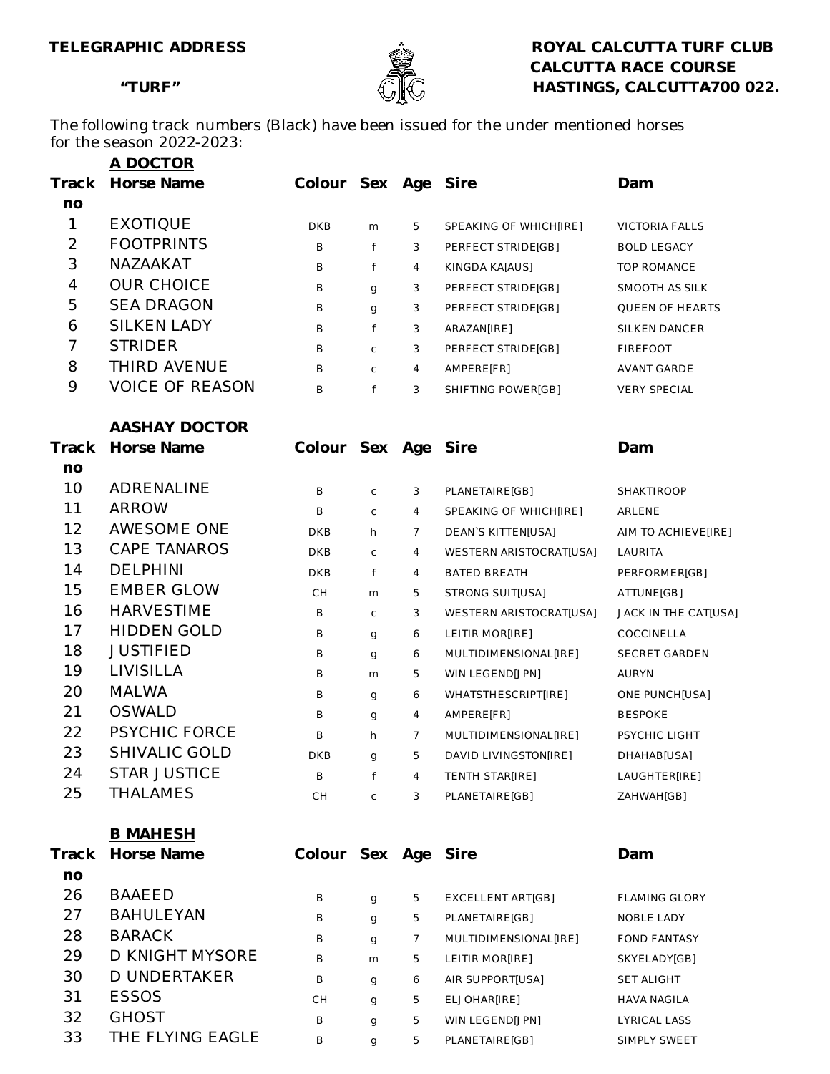

TELEGRAPHIC ADDRESS **ROYAL CALCUTTA TURF CLUB CALCUTTA RACE COURSE** "TURF"  $\mathbb{G}$   $\mathbb{K}$  HASTINGS, CALCUTTA700 022.

The following track numbers (Black) have been issued for the under mentioned horses for the season 2022-2023:

|                | A DOCTOR               |                |             |                |                           |                        |
|----------------|------------------------|----------------|-------------|----------------|---------------------------|------------------------|
| Track          | Horse Name             | Colour Sex Age |             |                | Sire                      | Dam                    |
| no             |                        |                |             |                |                           |                        |
| 1              | <b>EXOTIQUE</b>        | DKB            | m           | 5              | SPEAKING OF WHICH[IRE]    | <b>VICTORIA FALLS</b>  |
| $\overline{2}$ | <b>FOOTPRINTS</b>      | B              | f           | 3              | PERFECT STRIDE[GB]        | <b>BOLD LEGACY</b>     |
| 3              | NAZAAKAT               | B              | f           | 4              | KINGDA KA[AUS]            | TOP ROMANCE            |
| $\overline{4}$ | <b>OUR CHOICE</b>      | B              | g           | 3              | PERFECT STRIDE[GB]        | SMOOTH AS SILK         |
| 5              | <b>SEA DRAGON</b>      | Β              | g           | 3              | PERFECT STRIDE[GB]        | <b>QUEEN OF HEARTS</b> |
| 6              | <b>SILKEN LADY</b>     | Β              | f           | 3              | ARAZAN[IRE]               | SILKEN DANCER          |
| 7              | <b>STRIDER</b>         | Β              | C           | 3              | PERFECT STRIDE[GB]        | <b>FIREFOOT</b>        |
| 8              | THIRD AVENUE           | B              | C           | 4              | AMPERE[FR]                | AVANT GARDE            |
| 9              | <b>VOICE OF REASON</b> | B              | f           | 3              | SHIFTING POWER[GB]        | <b>VERY SPECIAL</b>    |
|                | <b>AASHAY DOCTOR</b>   |                |             |                |                           |                        |
| Track          | Horse Name             | Colour Sex Age |             |                | Sire                      | Dam                    |
| no<br>10       | ADRENALINE             | B              | $\mathsf C$ | 3              | PLANETAIRE[GB]            | <b>SHAKTIROOP</b>      |
| 11             | <b>ARROW</b>           | B              | C           | 4              | SPEAKING OF WHICH[IRE]    | ARLENE                 |
| 12             | AWESOME ONE            | DKB            | h           | 7              | <b>DEAN'S KITTEN[USA]</b> | AIM TO ACHIEVE[IRE]    |
| 13             | <b>CAPE TANAROS</b>    | DKB            | $\mathsf C$ | 4              | WESTERN ARISTOCRAT[USA]   | LAURITA                |
| 14             | <b>DELPHINI</b>        | DKB            | f           | 4              | BATED BREATH              | PERFORMER[GB]          |
| 15             | <b>EMBER GLOW</b>      | CH             | m           | 5              | STRONG SUIT[USA]          | ATTUNE[GB]             |
| 16             | <b>HARVESTIME</b>      | B              | C           | 3              | WESTERN ARISTOCRAT[USA]   | JACK IN THE CAT[USA]   |
| 17             | <b>HIDDEN GOLD</b>     | B              | g           | 6              | LEITIR MOR[IRE]           | COCCINELLA             |
| 18             | <b>JUSTIFIED</b>       | B              | g           | 6              | MULTIDIMENSIONAL[IRE]     | <b>SECRET GARDEN</b>   |
| 19             | <b>LIVISILLA</b>       | B              | m           | 5              | WIN LEGEND[JPN]           | AURYN                  |
| 20             | <b>MALWA</b>           | B              | g           | 6              | WHATSTHESCRIPT[IRE]       | <b>ONE PUNCH[USA]</b>  |
| 21             | <b>OSWALD</b>          | B              | g           | 4              | AMPERE[FR]                | <b>BESPOKE</b>         |
| 22             | <b>PSYCHIC FORCE</b>   | B              | h           | $\overline{7}$ | MULTIDIMENSIONAL[IRE]     | PSYCHIC LIGHT          |
| 23             | SHIVALIC GOLD          | <b>DKB</b>     | g           | 5              | DAVID LIVINGSTON[IRE]     | DHAHAB[USA]            |
| 24             | <b>STAR JUSTICE</b>    | B              | f           | 4              | TENTH STAR[IRE]           | LAUGHTER[IRE]          |
| 25             | <b>THALAMES</b>        | СH             | С           | 3              | PLANETAIRE[GB]            | ZAHWAH[GB]             |
|                | <b>B MAHESH</b>        |                |             |                |                           |                        |
| Track          | Horse Name             | Colour Sex Age |             |                | Sire                      | Dam                    |
| no             |                        |                |             |                |                           |                        |
| 26             | BAAEED                 | В              | g           | 5              | <b>EXCELLENT ART[GB]</b>  | <b>FLAMING GLORY</b>   |
| 27             | <b>BAHULEYAN</b>       | B              | g           | 5              | PLANETAIRE[GB]            | NOBLE LADY             |
| 28             | <b>BARACK</b>          | Β              | g           | 7              | MULTIDIMENSIONAL[IRE]     | <b>FOND FANTASY</b>    |
| 29             | D KNIGHT MYSORE        | B              | m           | 5              | LEITIR MOR[IRE]           | SKYELADY[GB]           |
| 30             | <b>D UNDERTAKER</b>    | В              | g           | 6              | AIR SUPPORT[USA]          | <b>SET ALIGHT</b>      |
| 31             | <b>ESSOS</b>           | CН             | g           | 5              | ELJOHAR[IRE]              | <b>HAVA NAGILA</b>     |
| 32             | <b>GHOST</b>           | В              | g           | 5              | WIN LEGEND[JPN]           | LYRICAL LASS           |
| 33             | THE FLYING EAGLE       | B              | q           | 5              | PLANETAIRE[GB]            | SIMPLY SWEET           |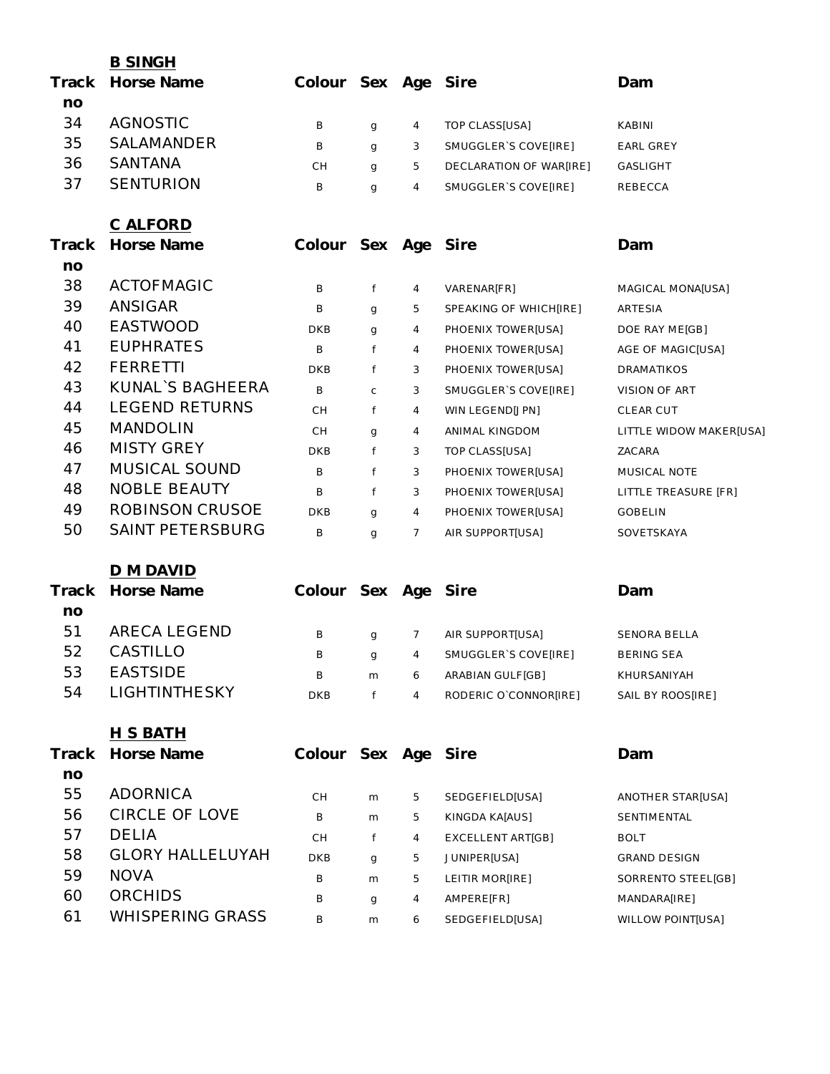|       | <b>B SINGH</b>          |                     |              |                |                         |                         |
|-------|-------------------------|---------------------|--------------|----------------|-------------------------|-------------------------|
| Track | Horse Name              | Colour Sex Age Sire |              |                |                         | Dam                     |
| no    |                         |                     |              |                |                         |                         |
| 34    | <b>AGNOSTIC</b>         | В                   | g            | 4              | TOP CLASS[USA]          | KABINI                  |
| 35    | SALAMANDER              | B                   | g            | 3              | SMUGGLER'S COVE[IRE]    | EARL GREY               |
| 36    | <b>SANTANA</b>          | CH                  | g            | 5              | DECLARATION OF WAR[IRE] | <b>GASLIGHT</b>         |
| 37    | <b>SENTURION</b>        | B                   | $\mathbf{q}$ | $\overline{4}$ | SMUGGLER'S COVE[IRE]    | REBECCA                 |
|       | C ALFORD                |                     |              |                |                         |                         |
| Track | Horse Name              | Colour Sex Age Sire |              |                |                         | Dam                     |
| no    |                         |                     |              |                |                         |                         |
| 38    | <b>ACTOFMAGIC</b>       | В                   | f            | 4              | VARENAR[FR]             | MAGICAL MONA[USA]       |
| 39    | ANSIGAR                 | B                   | g            | 5              | SPEAKING OF WHICH[IRE]  | ARTESIA                 |
| 40    | <b>EASTWOOD</b>         | <b>DKB</b>          | $\mathbf{q}$ | 4              | PHOENIX TOWER[USA]      | DOE RAY ME[GB]          |
| 41    | <b>EUPHRATES</b>        | B                   | f            | 4              | PHOENIX TOWER[USA]      | AGE OF MAGIC[USA]       |
| 42    | <b>FERRETTI</b>         | <b>DKB</b>          | f            | 3              | PHOENIX TOWER[USA]      | DRAMATIKOS              |
| 43    | KUNAL`S BAGHEERA        | B                   | $\mathsf C$  | 3              | SMUGGLER'S COVE[IRE]    | VISION OF ART           |
| 44    | <b>LEGEND RETURNS</b>   | CH                  | f            | 4              | WIN LEGEND[JPN]         | <b>CLEAR CUT</b>        |
| 45    | <b>MANDOLIN</b>         | CH                  | g            | 4              | ANIMAL KINGDOM          | LITTLE WIDOW MAKER[USA] |
| 46    | <b>MISTY GREY</b>       | <b>DKB</b>          | f            | 3              | TOP CLASS[USA]          | ZACARA                  |
| 47    | MUSICAL SOUND           | B                   | f            | 3              | PHOENIX TOWER[USA]      | MUSICAL NOTE            |
| 48    | <b>NOBLE BEAUTY</b>     | B                   | f            | 3              | PHOENIX TOWER[USA]      | LITTLE TREASURE [FR]    |
| 49    | <b>ROBINSON CRUSOE</b>  | <b>DKB</b>          | g            | 4              | PHOENIX TOWER[USA]      | <b>GOBELIN</b>          |
| 50    | <b>SAINT PETERSBURG</b> | B                   | g            | 7              | AIR SUPPORT[USA]        | SOVETSKAYA              |
|       | D M DAVID               |                     |              |                |                         |                         |
| Track | Horse Name              | Colour Sex Age Sire |              |                |                         | Dam                     |
| no    |                         |                     |              |                |                         |                         |
| 51    | <b>ARECA LEGEND</b>     | B                   | g            | $\overline{7}$ | AIR SUPPORT[USA]        | SENORA BELLA            |
| 52    | CASTILLO                | В                   |              | 4              | SMUGGLER'S COVE[IRE]    | <b>BERING SEA</b>       |
| 53    | <b>EASTSIDE</b>         | B                   | g<br>m       | 6              | ARABIAN GULF[GB]        | KHURSANIYAH             |
| 54    | LIGHTINTHESKY           | <b>DKB</b>          | f            | $\overline{4}$ | RODERIC O'CONNOR[IRE]   | SAIL BY ROOS[IRE]       |
|       |                         |                     |              |                |                         |                         |
|       | <u>H S BATH</u>         |                     |              |                |                         |                         |
| Track | Horse Name              | Colour Sex Age Sire |              |                |                         | Dam                     |
| no    | <b>ADORNICA</b>         |                     |              |                |                         |                         |
| 55    |                         | CH                  | m            | 5              | SEDGEFIELD[USA]         | ANOTHER STAR[USA]       |
| 56    | <b>CIRCLE OF LOVE</b>   | B                   | m            | 5              | KINGDA KA[AUS]          | SENTIMENTAL             |
| 57    | <b>DELIA</b>            | CH                  | f            | 4              | EXCELLENT ART[GB]       | <b>BOLT</b>             |
| 58    | <b>GLORY HALLELUYAH</b> | <b>DKB</b>          | $\mathbf{q}$ | 5              | JUNIPER[USA]            | <b>GRAND DESIGN</b>     |
| 59    | <b>NOVA</b>             | B                   | m            | 5              | LEITIR MOR[IRE]         | SORRENTO STEEL[GB]      |
| 60    | <b>ORCHIDS</b>          | В                   | g            | 4              | AMPERE[FR]              | MANDARA[IRE]            |
| 61    | <b>WHISPERING GRASS</b> | В                   | m            | 6              | SEDGEFIELD[USA]         | WILLOW POINT[USA]       |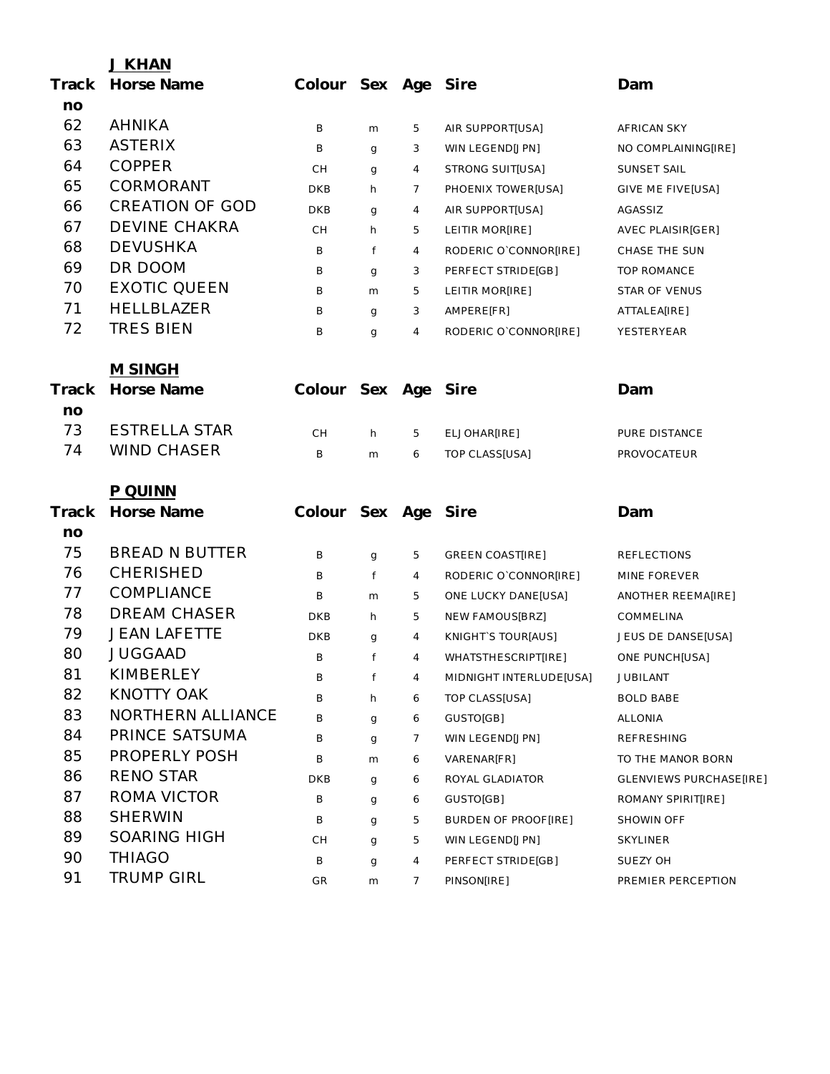|       | J KHAN                 |                     |              |                |                         |                          |
|-------|------------------------|---------------------|--------------|----------------|-------------------------|--------------------------|
| Track | Horse Name             | Colour Sex Age Sire |              |                |                         | Dam                      |
| no    |                        |                     |              |                |                         |                          |
| 62    | <b>AHNIKA</b>          | Β                   | m            | 5              | AIR SUPPORT[USA]        | AFRICAN SKY              |
| 63    | <b>ASTERIX</b>         | B                   | g            | 3              | WIN LEGEND[JPN]         | NO COMPLAINING[IRE]      |
| 64    | <b>COPPER</b>          | CH                  | g            | 4              | STRONG SUIT[USA]        | SUNSET SAIL              |
| 65    | CORMORANT              | <b>DKB</b>          | h            | $\overline{7}$ | PHOENIX TOWER[USA]      | GIVE ME FIVE[USA]        |
| 66    | <b>CREATION OF GOD</b> | <b>DKB</b>          | g            | 4              | AIR SUPPORT[USA]        | AGASSIZ                  |
| 67    | <b>DEVINE CHAKRA</b>   | CH                  | h            | 5              | LEITIR MOR[IRE]         | <b>AVEC PLAISIR[GER]</b> |
| 68    | <b>DEVUSHKA</b>        | B                   | f            | 4              | RODERIC O`CONNOR[IRE]   | CHASE THE SUN            |
| 69    | DR DOOM                | В                   | g            | 3              | PERFECT STRIDE[GB]      | <b>TOP ROMANCE</b>       |
| 70    | <b>EXOTIC QUEEN</b>    | B                   | m            | 5              | LEITIR MOR[IRE]         | STAR OF VENUS            |
| 71    | <b>HELLBLAZER</b>      | B                   | g            | 3              | AMPERE[FR]              | ATTALEA[IRE]             |
| 72    | <b>TRES BIEN</b>       | B                   | $\mathbf{q}$ | 4              | RODERIC O`CONNOR[IRE]   | YESTERYEAR               |
|       | <b>M SINGH</b>         |                     |              |                |                         |                          |
| Track | Horse Name             | Colour Sex Age      |              |                | Sire                    | Dam                      |
| no    |                        |                     |              |                |                         |                          |
| 73    | <b>ESTRELLA STAR</b>   | <b>CH</b>           | h            | 5              | ELJOHAR[IRE]            | PURE DISTANCE            |
| 74    | <b>WIND CHASER</b>     | B                   | m            | 6              | TOP CLASS[USA]          | PROVOCATEUR              |
|       | P QUINN                |                     |              |                |                         |                          |
| Track | Horse Name             | Colour Sex Age      |              |                | Sire                    | Dam                      |
| no    |                        |                     |              |                |                         |                          |
| 75    | <b>BREAD N BUTTER</b>  | В                   | g            | 5              | <b>GREEN COAST[IRE]</b> | <b>REFLECTIONS</b>       |
| 76    | <b>CHERISHED</b>       | B                   | f            | 4              | RODERIC O`CONNOR[IRE]   | MINE FOREVER             |
| 77    | COMPLIANCE             | B                   | m            | 5              | ONE LUCKY DANE[USA]     | ANOTHER REEMA[IRE]       |
| 78    | <b>DREAM CHASER</b>    | DKB                 | h            | 5              | NEW FAMOUS[BRZ]         | COMMELINA                |
| 79    | <b>JEAN LAFETTE</b>    | <b>DKB</b>          | g            | 4              | KNIGHTS TOUR[AUS]       | JEUS DE DANSE[USA]       |
| 80    | <b>JUGGAAD</b>         | B                   | f            | $\overline{4}$ | WHATSTHESCRIPT[IRE]     | ONE PUNCH[USA]           |
| 81    | <b>KIMBERLEY</b>       | B                   | f            | 4              | MIDNIGHT INTERLUDE[USA] | JUBILANT                 |
| 82    | <b>KNOTTY OAK</b>      | B                   | h            | 6              | <b>TOP CLASS[USA]</b>   | <b>BOLD BABE</b>         |
| 83    | NORTHERN ALLIANCE      | B                   | g            | 6              | GUSTO[GB]               | <b>ALLONIA</b>           |
| 84    | PRINCE SATSUMA         | B                   | g            | 7              | WIN LEGEND[JPN]         | <b>REFRESHING</b>        |
| 85    | PROPERLY POSH          | B                   | m            | 6              | VARENAR[FR]             | TO THE MANOR BORN        |
| 86    | <b>RENO STAR</b>       | <b>DKB</b>          | g            | 6              | ROYAL GLADIATOR         | GLENVIEWS PURCHASE[IRE]  |
| 87    | ROMA VICTOR            | B                   | g            | 6              | GUSTO[GB]               | ROMANY SPIRIT[IRE]       |
| 88    | <b>SHERWIN</b>         | В                   | g            | 5              | BURDEN OF PROOF[IRE]    | SHOWIN OFF               |
| 89    | <b>SOARING HIGH</b>    | <b>CH</b>           | g            | 5              | WIN LEGEND[JPN]         | <b>SKYLINER</b>          |
| 90    | <b>THIAGO</b>          | B                   | g            | $\overline{4}$ | PERFECT STRIDE[GB]      | SUEZY OH                 |
| 91    | <b>TRUMP GIRL</b>      | GR                  | m            | $\overline{7}$ | PINSON[IRE]             | PREMIER PERCEPTION       |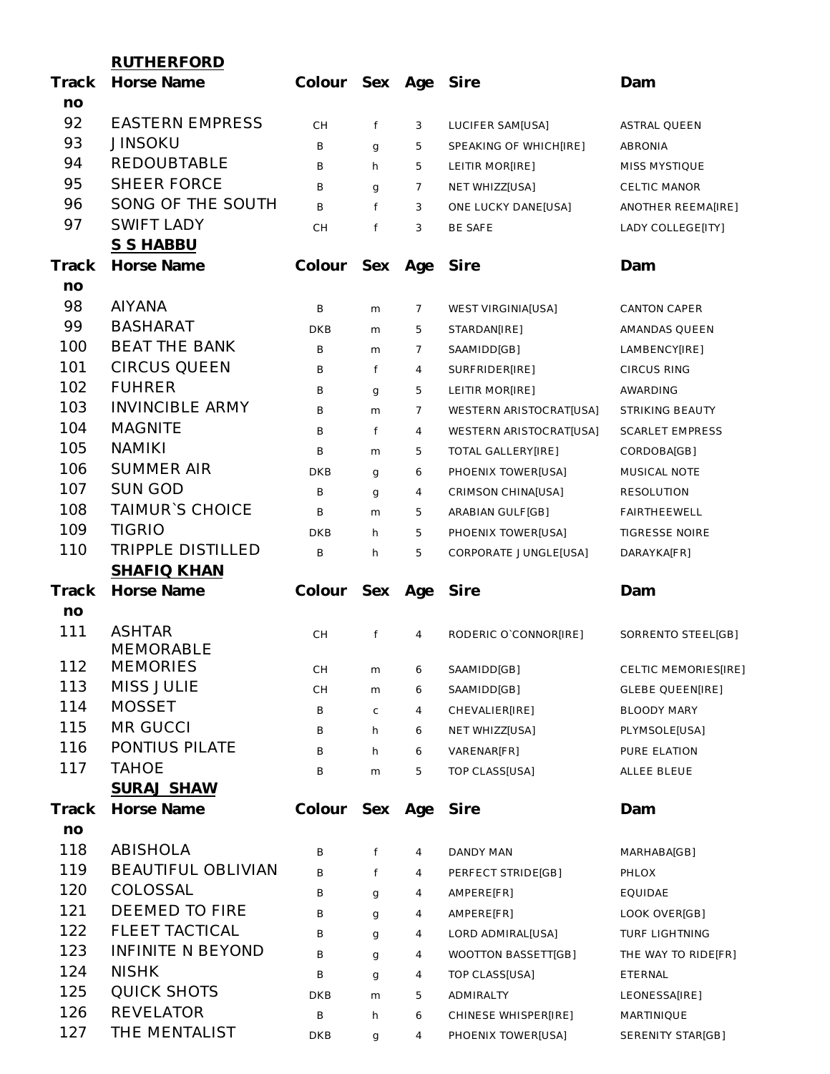|       | <b>RUTHERFORD</b>         |                |        |                |                                                    |                                           |
|-------|---------------------------|----------------|--------|----------------|----------------------------------------------------|-------------------------------------------|
| Track | Horse Name                | Colour Sex Age |        |                | Sire                                               | Dam                                       |
| no    |                           |                |        |                |                                                    |                                           |
| 92    | <b>EASTERN EMPRESS</b>    | <b>CH</b>      | f      | 3              | LUCIFER SAM[USA]                                   | <b>ASTRAL QUEEN</b>                       |
| 93    | <b>JINSOKU</b>            | B              | g      | 5              | SPEAKING OF WHICH[IRE]                             | <b>ABRONIA</b>                            |
| 94    | <b>REDOUBTABLE</b>        | B              | h      | 5              | LEITIR MOR[IRE]                                    | MISS MYSTIQUE                             |
| 95    | <b>SHEER FORCE</b>        | B              | g      | $\overline{7}$ | NET WHIZZ[USA]                                     | CELTIC MANOR                              |
| 96    | SONG OF THE SOUTH         | B              | f      | 3              | ONE LUCKY DANE[USA]                                | ANOTHER REEMA[IRE]                        |
| 97    | <b>SWIFT LADY</b>         | СH             | f      | 3              | BE SAFE                                            | LADY COLLEGE[ITY]                         |
|       | S S HABBU                 |                |        |                |                                                    |                                           |
| Track | Horse Name                | Colour         | Sex    | Age            | Sire                                               | Dam                                       |
| no    |                           |                |        |                |                                                    |                                           |
| 98    | <b>AIYANA</b>             | B              | m      | 7              | <b>WEST VIRGINIA[USA]</b>                          | <b>CANTON CAPER</b>                       |
| 99    | <b>BASHARAT</b>           | DKB            | m      | 5              | STARDAN[IRE]                                       | AMANDAS QUEEN                             |
| 100   | <b>BEAT THE BANK</b>      | B              | m      | $\overline{7}$ | SAAMIDD[GB]                                        | LAMBENCY[IRE]                             |
| 101   | <b>CIRCUS QUEEN</b>       | B              | f      | $\overline{4}$ | SURFRIDER[IRE]                                     | CIRCUS RING                               |
| 102   | <b>FUHRER</b>             | B              |        | 5              |                                                    |                                           |
| 103   | <b>INVINCIBLE ARMY</b>    | B              | g      | $\overline{7}$ | LEITIR MOR[IRE]                                    | AWARDING                                  |
| 104   | <b>MAGNITE</b>            |                | m      |                | WESTERN ARISTOCRAT[USA]<br>WESTERN ARISTOCRATIUSAI | STRIKING BEAUTY<br><b>SCARLET EMPRESS</b> |
| 105   | <b>NAMIKI</b>             | B              | f      | $\overline{4}$ |                                                    |                                           |
| 106   | <b>SUMMER AIR</b>         | B              | m      | 5              | TOTAL GALLERY[IRE]                                 | CORDOBA[GB]                               |
| 107   | <b>SUN GOD</b>            | <b>DKB</b>     | g      | 6              | PHOENIX TOWER[USA]                                 | MUSICAL NOTE                              |
| 108   | <b>TAIMUR'S CHOICE</b>    | B              | g      | 4              | CRIMSON CHINA[USA]                                 | <b>RESOLUTION</b>                         |
| 109   | <b>TIGRIO</b>             | B              | m      | 5              | ARABIAN GULF[GB]                                   | <b>FAIRTHEEWELL</b>                       |
| 110   | <b>TRIPPLE DISTILLED</b>  | <b>DKB</b>     | h      | 5              | PHOENIX TOWER[USA]                                 | <b>TIGRESSE NOIRE</b>                     |
|       | SHAFIQ KHAN               | B              | h      | 5              | CORPORATE JUNGLE[USA]                              | DARAYKA[FR]                               |
| Track | Horse Name                | Colour         | Sex    | Age            | Sire                                               | Dam                                       |
| no    |                           |                |        |                |                                                    |                                           |
| 111   | <b>ASHTAR</b>             |                |        |                |                                                    |                                           |
|       | <b>MEMORABLE</b>          | СH             | f      | 4              | RODERIC O`CONNOR[IRE]                              | SORRENTO STEEL[GB]                        |
| 112   | <b>MEMORIES</b>           | CН             | m      | 6              | SAAMIDD[GB]                                        | CELTIC MEMORIES[IRE]                      |
| 113   | <b>MISS JULIE</b>         | CН             | m      | 6              | SAAMIDD[GB]                                        | <b>GLEBE QUEEN[IRE]</b>                   |
| 114   | <b>MOSSET</b>             | В              | C      | 4              | CHEVALIER[IRE]                                     | BLOODY MARY                               |
| 115   | <b>MR GUCCI</b>           | В              | h      | 6              | NET WHIZZ[USA]                                     | PLYMSOLE[USA]                             |
| 116   | PONTIUS PILATE            | В              | h      | 6              | VARENAR[FR]                                        | PURE ELATION                              |
| 117   | <b>TAHOE</b>              | В              | m      | 5              | TOP CLASS[USA]                                     | ALLEE BLEUE                               |
|       | <b>SURAJ SHAW</b>         |                |        |                |                                                    |                                           |
| Track | Horse Name                | Colour         | Sex    | Age            | Sire                                               | Dam                                       |
| no    |                           |                |        |                |                                                    |                                           |
| 118   | <b>ABISHOLA</b>           | В              | f      | 4              | DANDY MAN                                          | MARHABA[GB]                               |
| 119   | <b>BEAUTIFUL OBLIVIAN</b> | B              | f      | 4              | PERFECT STRIDE[GB]                                 | PHLOX                                     |
| 120   | COLOSSAL                  | В              |        | 4              | AMPERE[FR]                                         | EQUIDAE                                   |
| 121   | DEEMED TO FIRE            | В              | g      | 4              | AMPERE[FR]                                         | LOOK OVER[GB]                             |
| 122   | <b>FLEET TACTICAL</b>     | В              | g      | 4              | LORD ADMIRAL[USA]                                  | <b>TURF LIGHTNING</b>                     |
| 123   | <b>INFINITE N BEYOND</b>  | В              | g      | 4              | WOOTTON BASSETT[GB]                                | THE WAY TO RIDE[FR]                       |
| 124   | <b>NISHK</b>              |                | g      |                |                                                    |                                           |
| 125   | <b>QUICK SHOTS</b>        | В<br>DKB       | g      | 4<br>5         | TOP CLASS[USA]<br>ADMIRALTY                        | ETERNAL<br>LEONESSA[IRE]                  |
| 126   | <b>REVELATOR</b>          | В              | m<br>h | 6              | CHINESE WHISPER[IRE]                               | MARTINIQUE                                |
| 127   | THE MENTALIST             | <b>DKB</b>     |        | 4              | PHOENIX TOWER[USA]                                 | SERENITY STAR[GB]                         |
|       |                           |                | g      |                |                                                    |                                           |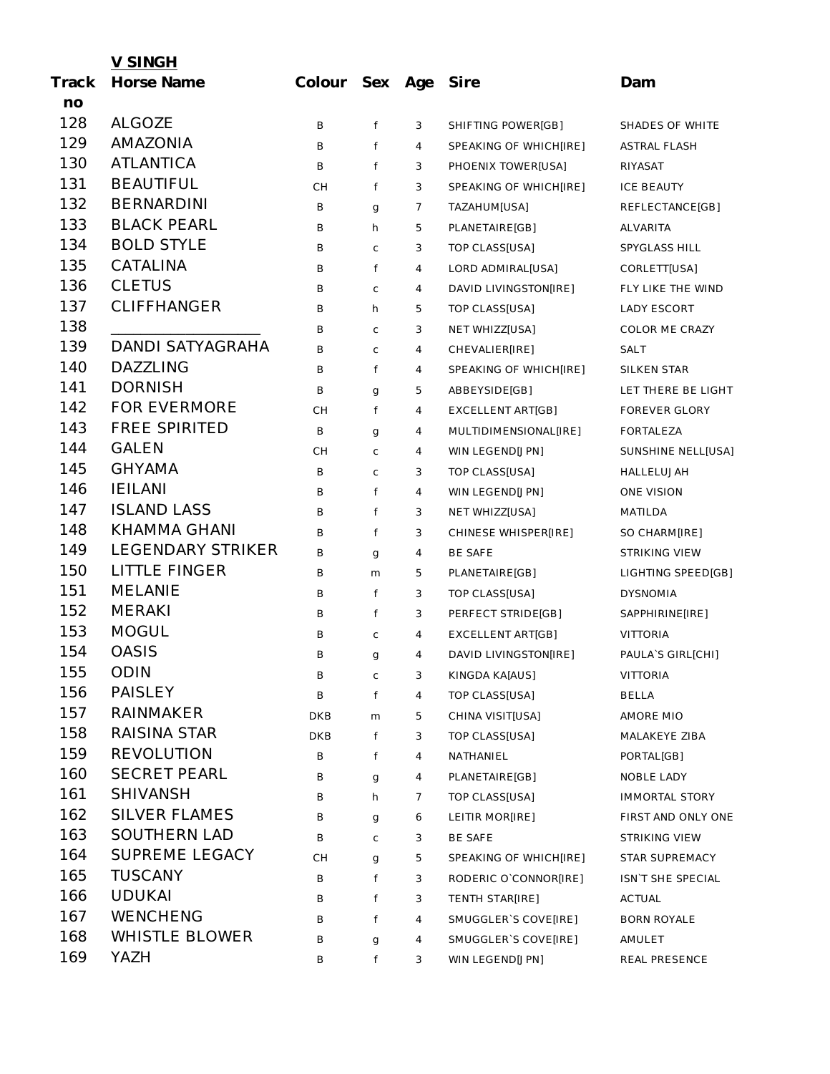|       | <u>V SINGH</u>           |                |             |   |                          |                       |
|-------|--------------------------|----------------|-------------|---|--------------------------|-----------------------|
| Track | Horse Name               | Colour Sex Age |             |   | Sire                     | Dam                   |
| no    |                          |                |             |   |                          |                       |
| 128   | <b>ALGOZE</b>            | B              | f           | 3 | SHIFTING POWER[GB]       | SHADES OF WHITE       |
| 129   | <b>AMAZONIA</b>          | B              | f           | 4 | SPEAKING OF WHICH[IRE]   | <b>ASTRAL FLASH</b>   |
| 130   | <b>ATLANTICA</b>         | B              | f           | 3 | PHOENIX TOWER[USA]       | RIYASAT               |
| 131   | <b>BEAUTIFUL</b>         | <b>CH</b>      | f           | 3 | SPEAKING OF WHICH[IRE]   | <b>ICE BEAUTY</b>     |
| 132   | <b>BERNARDINI</b>        | B              | g           | 7 | TAZAHUM[USA]             | REFLECTANCE[GB]       |
| 133   | <b>BLACK PEARL</b>       | B              | h           | 5 | PLANETAIRE[GB]           | ALVARITA              |
| 134   | <b>BOLD STYLE</b>        | B              | C           | 3 | TOP CLASS[USA]           | SPYGLASS HILL         |
| 135   | CATALINA                 | B              | f           | 4 | LORD ADMIRAL[USA]        | CORLETT[USA]          |
| 136   | <b>CLETUS</b>            | B              | C           | 4 | DAVID LIVINGSTON[IRE]    | FLY LIKE THE WIND     |
| 137   | <b>CLIFFHANGER</b>       | B              | h           | 5 | TOP CLASS[USA]           | LADY ESCORT           |
| 138   |                          | B              | C           | 3 | NET WHIZZ[USA]           | COLOR ME CRAZY        |
| 139   | <b>DANDI SATYAGRAHA</b>  | B              | $\mathsf C$ | 4 | CHEVALIER[IRE]           | <b>SALT</b>           |
| 140   | <b>DAZZLING</b>          | B              | f           | 4 | SPEAKING OF WHICH[IRE]   | SILKEN STAR           |
| 141   | <b>DORNISH</b>           | B              | g           | 5 | ABBEYSIDE[GB]            | LET THERE BE LIGHT    |
| 142   | <b>FOR EVERMORE</b>      | CH             | f           | 4 | <b>EXCELLENT ART[GB]</b> | <b>FOREVER GLORY</b>  |
| 143   | <b>FREE SPIRITED</b>     | В              | g           | 4 | MULTIDIMENSIONAL[IRE]    | <b>FORTALEZA</b>      |
| 144   | <b>GALEN</b>             | CH             | C           | 4 | WIN LEGEND[JPN]          | SUNSHINE NELL[USA]    |
| 145   | <b>GHYAMA</b>            | В              | C           | 3 | TOP CLASS[USA]           | HALLELUJAH            |
| 146   | <b>IEILANI</b>           | B              | f           | 4 | WIN LEGEND[JPN]          | ONE VISION            |
| 147   | <b>ISLAND LASS</b>       | B              | f           | 3 | NET WHIZZ[USA]           | MATILDA               |
| 148   | <b>KHAMMA GHANI</b>      | B              | f           | 3 | CHINESE WHISPER[IRE]     | SO CHARM[IRE]         |
| 149   | <b>LEGENDARY STRIKER</b> | В              | g           | 4 | BE SAFE                  | STRIKING VIEW         |
| 150   | <b>LITTLE FINGER</b>     | B              | m           | 5 | PLANETAIRE[GB]           | LIGHTING SPEED[GB]    |
| 151   | <b>MELANIE</b>           | B              | f           | 3 | TOP CLASS[USA]           | <b>DYSNOMIA</b>       |
| 152   | <b>MERAKI</b>            | B              | f           | 3 | PERFECT STRIDE[GB]       | SAPPHIRINE[IRE]       |
| 153   | <b>MOGUL</b>             | B              | C           | 4 | EXCELLENT ART[GB]        | <b>VITTORIA</b>       |
| 154   | <b>OASIS</b>             | B              | g           | 4 | DAVID LIVINGSTON[IRE]    | PAULA'S GIRL[CHI]     |
| 155   | <b>ODIN</b>              | В              | C           | 3 | KINGDA KA[AUS]           | <b>VITTORIA</b>       |
| 156   | PAISLEY                  | Β              | f           | 4 | TOP CLASS[USA]           | <b>BELLA</b>          |
| 157   | <b>RAINMAKER</b>         | DKB            | m           | 5 | CHINA VISIT[USA]         | AMORE MIO             |
| 158   | RAISINA STAR             | DKB            | f           | 3 | TOP CLASS[USA]           | MALAKEYE ZIBA         |
| 159   | <b>REVOLUTION</b>        | B              | f           | 4 | NATHANIEL                | PORTAL[GB]            |
| 160   | <b>SECRET PEARL</b>      | B              | g           | 4 | PLANETAIRE[GB]           | NOBLE LADY            |
| 161   | <b>SHIVANSH</b>          | В              | h           | 7 | TOP CLASS[USA]           | <b>IMMORTAL STORY</b> |
| 162   | <b>SILVER FLAMES</b>     | B              | g           | 6 | LEITIR MOR[IRE]          | FIRST AND ONLY ONE    |
| 163   | <b>SOUTHERN LAD</b>      | B              | C           | 3 | <b>BE SAFE</b>           | STRIKING VIEW         |
| 164   | <b>SUPREME LEGACY</b>    | CH             | g           | 5 | SPEAKING OF WHICH[IRE]   | STAR SUPREMACY        |
| 165   | <b>TUSCANY</b>           | В              | f           | 3 | RODERIC O`CONNOR[IRE]    | ISN'T SHE SPECIAL     |
| 166   | <b>UDUKAI</b>            | В              | f           | 3 | TENTH STAR[IRE]          | ACTUAL                |
| 167   | <b>WENCHENG</b>          | B              | f           | 4 | SMUGGLER'S COVE[IRE]     | <b>BORN ROYALE</b>    |
| 168   | <b>WHISTLE BLOWER</b>    | B              | g           | 4 | SMUGGLER'S COVE[IRE]     | AMULET                |
| 169   | YAZH                     | B              | f           | 3 | WIN LEGEND[JPN]          | REAL PRESENCE         |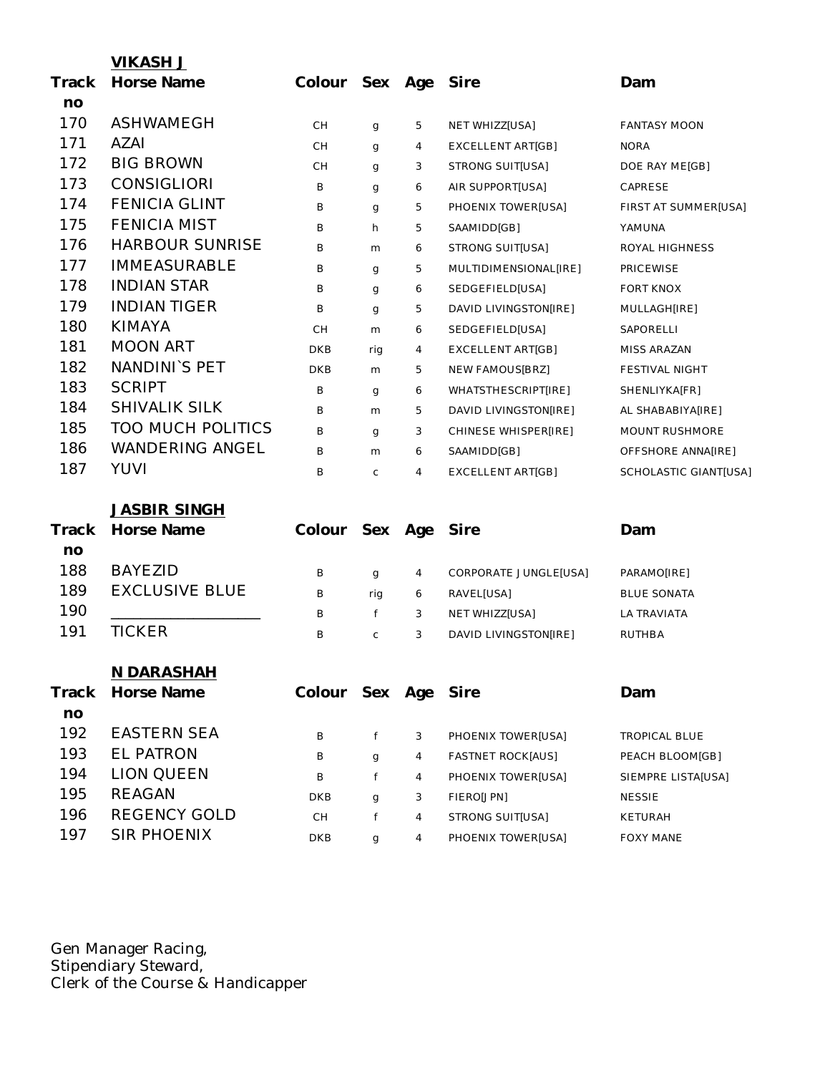|       | <b>VIKASH J</b>          |                     |     |   |                          |                       |
|-------|--------------------------|---------------------|-----|---|--------------------------|-----------------------|
| Track | Horse Name               | Colour Sex Age      |     |   | Sire                     | Dam                   |
| no    |                          |                     |     |   |                          |                       |
| 170   | ASHWAMEGH                | CН                  | g   | 5 | NET WHIZZ[USA]           | <b>FANTASY MOON</b>   |
| 171   | AZAI                     | CН                  | g   | 4 | EXCELLENT ART[GB]        | <b>NORA</b>           |
| 172   | <b>BIG BROWN</b>         | CН                  | g   | 3 | <b>STRONG SUIT[USA]</b>  | DOE RAY ME[GB]        |
| 173   | <b>CONSIGLIORI</b>       | B                   | g   | 6 | AIR SUPPORT[USA]         | CAPRESE               |
| 174   | <b>FENICIA GLINT</b>     | В                   | g   | 5 | PHOENIX TOWER[USA]       | FIRST AT SUMMER[USA]  |
| 175   | <b>FENICIA MIST</b>      | B                   | h   | 5 | SAAMIDD[GB]              | YAMUNA                |
| 176   | <b>HARBOUR SUNRISE</b>   | B                   | m   | 6 | STRONG SUIT[USA]         | ROYAL HIGHNESS        |
| 177   | <b>IMMEASURABLE</b>      | В                   | g   | 5 | MULTIDIMENSIONAL[IRE]    | <b>PRICEWISE</b>      |
| 178   | <b>INDIAN STAR</b>       | В                   | g   | 6 | SEDGEFIELD[USA]          | <b>FORT KNOX</b>      |
| 179   | <b>INDIAN TIGER</b>      | Β                   | g   | 5 | DAVID LIVINGSTON[IRE]    | MULLAGH[IRE]          |
| 180   | <b>KIMAYA</b>            | CН                  | m   | 6 | SEDGEFIELD[USA]          | SAPORELLI             |
| 181   | <b>MOON ART</b>          | <b>DKB</b>          | rig | 4 | EXCELLENT ART[GB]        | MISS ARAZAN           |
| 182   | NANDINI'S PET            | <b>DKB</b>          | m   | 5 | NEW FAMOUS[BRZ]          | FESTIVAL NIGHT        |
| 183   | <b>SCRIPT</b>            | B                   | g   | 6 | WHATSTHESCRIPT[IRE]      | SHENLIYKA[FR]         |
| 184   | <b>SHIVALIK SILK</b>     | B                   | m   | 5 | DAVID LIVINGSTON[IRE]    | AL SHABABIYA[IRE]     |
| 185   | <b>TOO MUCH POLITICS</b> | B                   | g   | 3 | CHINESE WHISPER[IRE]     | <b>MOUNT RUSHMORE</b> |
| 186   | <b>WANDERING ANGEL</b>   | В                   | m   | 6 | SAAMIDD[GB]              | OFFSHORE ANNA[IRE]    |
| 187   | <b>YUVI</b>              | В                   | C   | 4 | EXCELLENT ART[GB]        | SCHOLASTIC GIANT[USA] |
|       | <b>JASBIR SINGH</b>      |                     |     |   |                          |                       |
| Track | Horse Name               | Colour Sex Age      |     |   | Sire                     | Dam                   |
| no    |                          |                     |     |   |                          |                       |
| 188   | <b>BAYEZID</b>           | B                   | g   | 4 | CORPORATE JUNGLE[USA]    | PARAMO[IRE]           |
| 189   | <b>EXCLUSIVE BLUE</b>    | B                   | rig | 6 | RAVEL[USA]               | <b>BLUE SONATA</b>    |
| 190   |                          | B                   | f   | 3 | NET WHIZZ[USA]           | LA TRAVIATA           |
| 191   | <b>TICKER</b>            | B                   | C   | 3 | DAVID LIVINGSTON[IRE]    | <b>RUTHBA</b>         |
|       | N DARASHAH               |                     |     |   |                          |                       |
| Track | Horse Name               | Colour Sex Age Sire |     |   |                          | Dam                   |
| no    |                          |                     |     |   |                          |                       |
| 192   | <b>EASTERN SEA</b>       | B                   | f   | 3 | PHOENIX TOWER[USA]       | <b>TROPICAL BLUE</b>  |
| 193   | <b>EL PATRON</b>         | B                   | g   | 4 | <b>FASTNET ROCK[AUS]</b> | PEACH BLOOM[GB]       |
| 194   | <b>LION QUEEN</b>        | B                   | f   | 4 | PHOENIX TOWER[USA]       | SIEMPRE LISTA[USA]    |
| 195   | <b>REAGAN</b>            | DKB                 | g   | 3 | FIERO[JPN]               | <b>NESSIE</b>         |
| 196   | <b>REGENCY GOLD</b>      | CH                  | f   | 4 | STRONG SUIT[USA]         | KETURAH               |
| 197   | SIR PHOENIX              | DKB                 | g   | 4 | PHOENIX TOWER[USA]       | <b>FOXY MANE</b>      |

Gen Manager Racing, Stipendiary Steward, Clerk of the Course & Handicapper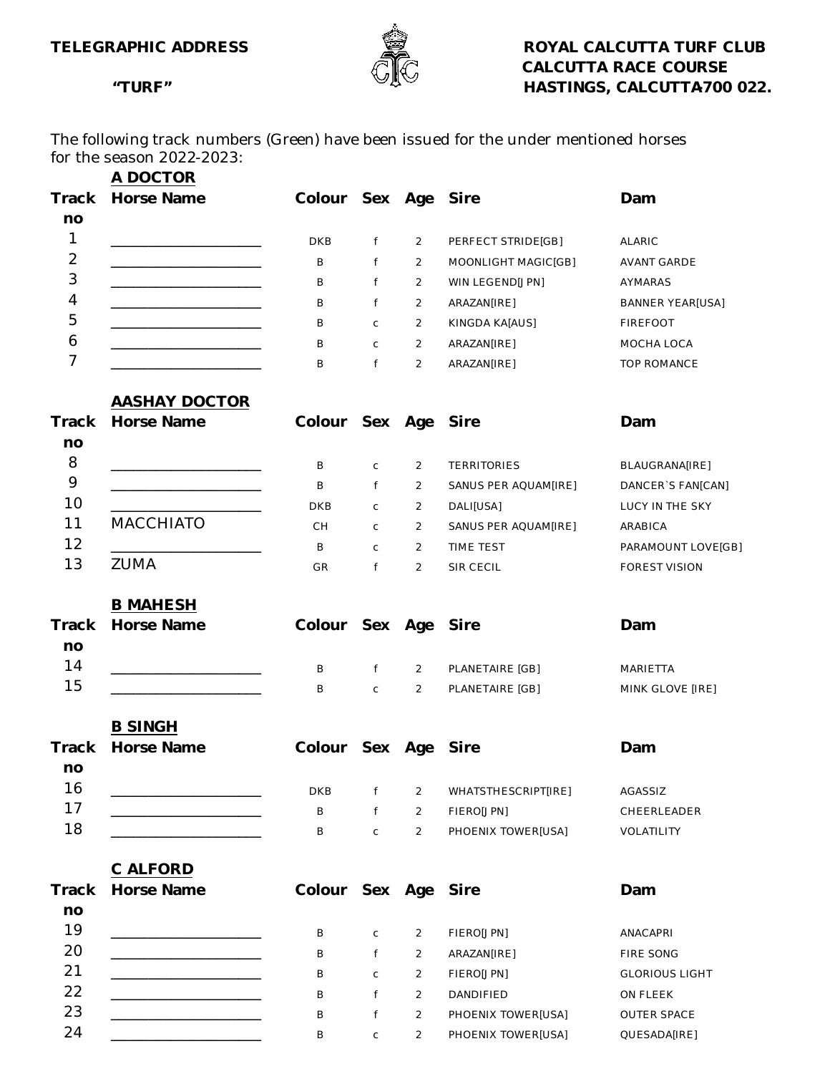

The following track numbers (Green) have been issued for the under mentioned horses for the season 2022-2023:

|                | A DOCTOR                                     |                     |              |                |                      |                         |
|----------------|----------------------------------------------|---------------------|--------------|----------------|----------------------|-------------------------|
| Track          | Horse Name                                   | Colour Sex Age Sire |              |                |                      | Dam                     |
| no             |                                              |                     |              |                |                      |                         |
| $\mathbf{1}$   |                                              | <b>DKB</b>          | f            | $\overline{2}$ | PERFECT STRIDE[GB]   | ALARIC                  |
| $\overline{2}$ |                                              | B                   | f            | $\overline{2}$ | MOONLIGHT MAGIC[GB]  | AVANT GARDE             |
| 3              |                                              | Β                   | f            | $\overline{2}$ | WIN LEGEND[JPN]      | AYMARAS                 |
| 4              |                                              | Β                   | f            | $\overline{2}$ | ARAZAN[IRE]          | <b>BANNER YEAR[USA]</b> |
| 5              |                                              | В                   | $\mathsf C$  | $\overline{2}$ | KINGDA KA[AUS]       | <b>FIREFOOT</b>         |
| 6              |                                              | Β                   | $\mathsf{C}$ | $\overline{2}$ | ARAZAN[IRE]          | MOCHA LOCA              |
| 7              |                                              | Β                   | f            | $\overline{2}$ | ARAZAN[IRE]          | TOP ROMANCE             |
|                | <b>AASHAY DOCTOR</b>                         |                     |              |                |                      |                         |
| Track          | Horse Name                                   | Colour Sex Age Sire |              |                |                      | Dam                     |
| no             |                                              |                     |              |                |                      |                         |
| 8              |                                              | B                   | $\mathsf C$  | $\overline{2}$ | <b>TERRITORIES</b>   | BLAUGRANA[IRE]          |
| 9              |                                              | B                   | f            | $\overline{2}$ | SANUS PER AQUAM[IRE] | DANCER'S FAN[CAN]       |
| 10             |                                              | DKB                 | $\mathsf{C}$ | 2              | DALI[USA]            | LUCY IN THE SKY         |
| 11             | <b>MACCHIATO</b>                             | CH.                 | $\mathsf{C}$ | $\overline{2}$ | SANUS PER AQUAM[IRE] | ARABICA                 |
| 12             |                                              | B                   | $\mathsf{C}$ | $\overline{2}$ | TIME TEST            | PARAMOUNT LOVE[GB]      |
| 13             | <b>ZUMA</b>                                  | GR                  | f            | 2              | SIR CECIL            | <b>FOREST VISION</b>    |
|                | <b>B MAHESH</b>                              |                     |              |                |                      |                         |
| Track          | Horse Name                                   | Colour Sex Age Sire |              |                |                      | Dam                     |
| no             |                                              |                     |              |                |                      |                         |
| 14             |                                              | B                   | f            | $\overline{2}$ | PLANETAIRE [GB]      | MARIETTA                |
| 15             |                                              | B                   | $\mathsf C$  | $\overline{2}$ | PLANETAIRE [GB]      | MINK GLOVE [IRE]        |
|                | <b>B SINGH</b>                               |                     |              |                |                      |                         |
| Track          | Horse Name                                   | Colour Sex Age      |              |                | Sire                 | Dam                     |
| no             |                                              |                     |              |                |                      |                         |
| 16             | the control of the control of the control of | <b>DKB</b>          | f            | 2              | WHATSTHESCRIPT[IRE]  | AGASSIZ                 |
| 17             |                                              | B                   | f            | $\overline{2}$ | FIERO[JPN]           | CHEERLEADER             |
| 18             |                                              | B                   | $\mathsf C$  | $\overline{2}$ | PHOENIX TOWER[USA]   | VOLATILITY              |
|                |                                              |                     |              |                |                      |                         |
| Track          | C ALFORD<br>Horse Name                       | Colour Sex Age Sire |              |                |                      | Dam                     |
| no             |                                              |                     |              |                |                      |                         |
| 19             |                                              |                     |              |                |                      |                         |
| 20             |                                              | B                   | C            | $\overline{2}$ | FIERO[JPN]           | ANACAPRI                |
| 21             | <u> 1980 - Johann Barbara, martxa al</u>     | B                   | f            | $\overline{2}$ | ARAZAN[IRE]          | FIRE SONG               |
| 22             |                                              | B                   | C            | $\overline{2}$ | FIERO[JPN]           | <b>GLORIOUS LIGHT</b>   |
| 23             | the control of the control of the control of | B                   | f            | $\overline{2}$ | DANDIFIED            | ON FLEEK                |
| 24             |                                              | B                   | f            | $\overline{2}$ | PHOENIX TOWER[USA]   | OUTER SPACE             |
|                |                                              | B                   | C            | $\overline{2}$ | PHOENIX TOWER[USA]   | QUESADA[IRE]            |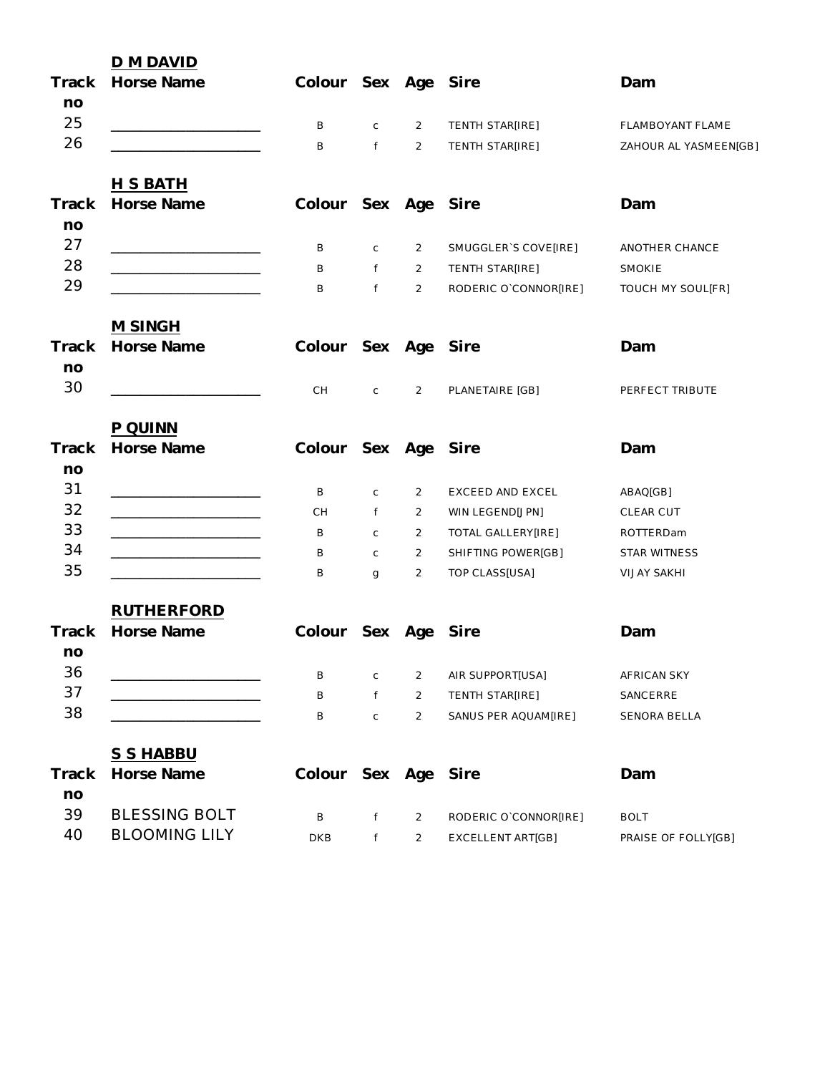|             | D M DAVID            |                     |                   |                |                       |                       |
|-------------|----------------------|---------------------|-------------------|----------------|-----------------------|-----------------------|
| Track<br>no | Horse Name           | Colour Sex Age Sire |                   |                |                       | Dam                   |
| 25          |                      | B                   | $\mathsf C$       | $\overline{2}$ | TENTH STAR[IRE]       | FLAMBOYANT FLAME      |
| 26          |                      | B                   | f                 | $\overline{2}$ | TENTH STAR[IRE]       | ZAHOUR AL YASMEEN[GB] |
|             | <u>H S BATH</u>      |                     |                   |                |                       |                       |
| Track<br>no | Horse Name           | Colour Sex Age Sire |                   |                |                       | Dam                   |
| 27          |                      | В                   | $\mathsf C$       | 2              | SMUGGLER'S COVE[IRE]  | ANOTHER CHANCE        |
| 28          |                      | B                   | $f \qquad \qquad$ | $\overline{2}$ | TENTH STAR[IRE]       | SMOKIE                |
| 29          |                      | B                   | $f$ and $f$       | $\overline{2}$ | RODERIC O`CONNOR[IRE] | TOUCH MY SOUL[FR]     |
|             | M SINGH              |                     |                   |                |                       |                       |
| Track<br>no | Horse Name           | Colour Sex Age Sire |                   |                |                       | Dam                   |
| 30          |                      | CH                  | $\mathsf C$       | 2              | PLANETAIRE [GB]       | PERFECT TRIBUTE       |
|             | P QUINN              |                     |                   |                |                       |                       |
| Track<br>no | Horse Name           | Colour Sex Age Sire |                   |                |                       | Dam                   |
| 31          |                      | B                   | $\mathsf C$       | 2              | EXCEED AND EXCEL      | ABAQ[GB]              |
| 32          |                      | СH                  | f                 | $\overline{2}$ | WIN LEGEND[JPN]       | CLEAR CUT             |
| 33          |                      | B                   | $\mathsf C$       | 2              | TOTAL GALLERY[IRE]    | ROTTERDam             |
| 34          |                      | B                   | $\mathsf{C}$      | $\overline{2}$ | SHIFTING POWER[GB]    | STAR WITNESS          |
| 35          |                      | B                   | g                 | $\overline{2}$ | TOP CLASS[USA]        | <b>VIJAY SAKHI</b>    |
|             | <b>RUTHERFORD</b>    |                     |                   |                |                       |                       |
| Track<br>no | Horse Name           | Colour Sex Age      |                   |                | Sire                  | Dam                   |
| 36          |                      | В                   | $\mathsf C$       | 2              | AIR SUPPORT[USA]      | AFRICAN SKY           |
| 37          |                      | В                   | f                 | $\overline{2}$ | TENTH STAR[IRE]       | SANCERRE              |
| 38          |                      | В                   | C                 | $\overline{2}$ | SANUS PER AQUAM[IRE]  | SENORA BELLA          |
|             | <b>S S HABBU</b>     |                     |                   |                |                       |                       |
| Track<br>no | Horse Name           | Colour Sex Age      |                   |                | Sire                  | Dam                   |
| 39          | <b>BLESSING BOLT</b> | B                   | f                 | 2              | RODERIC O`CONNOR[IRE] | <b>BOLT</b>           |
| 40          | <b>BLOOMING LILY</b> | <b>DKB</b>          | f                 | $\overline{2}$ | EXCELLENT ART[GB]     | PRAISE OF FOLLY[GB]   |